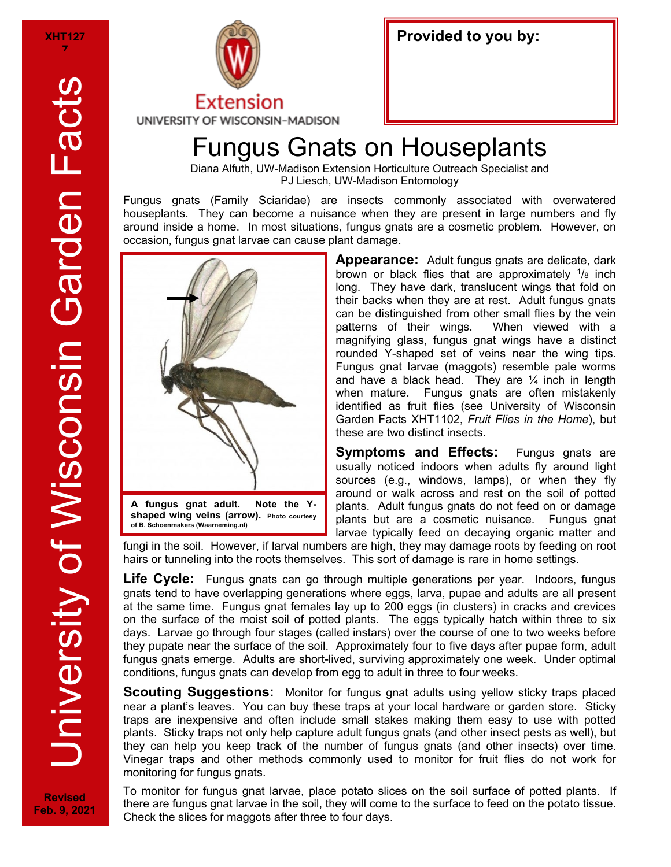

## Fungus Gnats on Houseplants

Diana Alfuth, UW-Madison Extension Horticulture Outreach Specialist and PJ Liesch, UW-Madison Entomology

Fungus gnats (Family Sciaridae) are insects commonly associated with overwatered houseplants. They can become a nuisance when they are present in large numbers and fly around inside a home. In most situations, fungus gnats are a cosmetic problem. However, on occasion, fungus gnat larvae can cause plant damage.



**Appearance:** Adult fungus gnats are delicate, dark brown or black flies that are approximately  $\frac{1}{8}$  inch long. They have dark, translucent wings that fold on their backs when they are at rest. Adult fungus gnats can be distinguished from other small flies by the vein patterns of their wings. When viewed with a magnifying glass, fungus gnat wings have a distinct rounded Y-shaped set of veins near the wing tips. Fungus gnat larvae (maggots) resemble pale worms and have a black head. They are  $\frac{1}{4}$  inch in length when mature. Fungus gnats are often mistakenly identified as fruit flies (see University of Wisconsin Garden Facts XHT1102, *Fruit Flies in the Home*), but these are two distinct insects.

**Symptoms and Effects:** Fungus gnats are usually noticed indoors when adults fly around light sources (e.g., windows, lamps), or when they fly around or walk across and rest on the soil of potted plants. Adult fungus gnats do not feed on or damage plants but are a cosmetic nuisance. Fungus gnat larvae typically feed on decaying organic matter and

fungi in the soil. However, if larval numbers are high, they may damage roots by feeding on root hairs or tunneling into the roots themselves. This sort of damage is rare in home settings.

**Life Cycle:** Fungus gnats can go through multiple generations per year. Indoors, fungus gnats tend to have overlapping generations where eggs, larva, pupae and adults are all present at the same time. Fungus gnat females lay up to 200 eggs (in clusters) in cracks and crevices on the surface of the moist soil of potted plants. The eggs typically hatch within three to six days. Larvae go through four stages (called instars) over the course of one to two weeks before they pupate near the surface of the soil. Approximately four to five days after pupae form, adult fungus gnats emerge. Adults are short-lived, surviving approximately one week. Under optimal conditions, fungus gnats can develop from egg to adult in three to four weeks.

**Scouting Suggestions:** Monitor for fungus gnat adults using yellow sticky traps placed near a plant's leaves. You can buy these traps at your local hardware or garden store. Sticky traps are inexpensive and often include small stakes making them easy to use with potted plants. Sticky traps not only help capture adult fungus gnats (and other insect pests as well), but they can help you keep track of the number of fungus gnats (and other insects) over time. Vinegar traps and other methods commonly used to monitor for fruit flies do not work for monitoring for fungus gnats.

To monitor for fungus gnat larvae, place potato slices on the soil surface of potted plants. If there are fungus gnat larvae in the soil, they will come to the surface to feed on the potato tissue. Check the slices for maggots after three to four days.

**Revised Feb. 9, 2021**